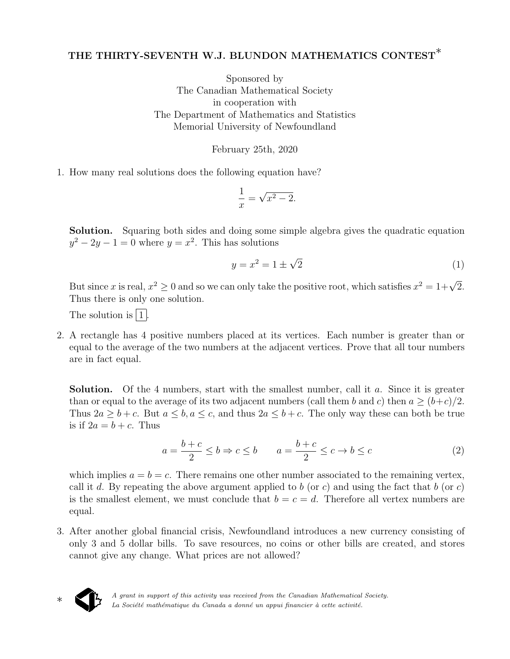## THE THIRTY-SEVENTH W.J. BLUNDON MATHEMATICS CONTEST<sup>\*</sup>

Sponsored by The Canadian Mathematical Society in cooperation with The Department of Mathematics and Statistics Memorial University of Newfoundland

February 25th, 2020

1. How many real solutions does the following equation have?

$$
\frac{1}{x} = \sqrt{x^2 - 2}.
$$

Solution. Squaring both sides and doing some simple algebra gives the quadratic equation  $y^2 - 2y - 1 = 0$  where  $y = x^2$ . This has solutions

$$
y = x^2 = 1 \pm \sqrt{2} \tag{1}
$$

But since x is real,  $x^2 \ge 0$  and so we can only take the positive root, which satisfies  $x^2 = 1 + \sqrt{2}$ . Thus there is only one solution.

The solution is  $|1|$ .

2. A rectangle has 4 positive numbers placed at its vertices. Each number is greater than or equal to the average of the two numbers at the adjacent vertices. Prove that all tour numbers are in fact equal.

**Solution.** Of the 4 numbers, start with the smallest number, call it  $a$ . Since it is greater than or equal to the average of its two adjacent numbers (call them b and c) then  $a \ge (b+c)/2$ . Thus  $2a > b+c$ . But  $a < b, a < c$ , and thus  $2a < b+c$ . The only way these can both be true is if  $2a = b + c$ . Thus

$$
a = \frac{b+c}{2} \le b \Rightarrow c \le b \qquad a = \frac{b+c}{2} \le c \Rightarrow b \le c \tag{2}
$$

which implies  $a = b = c$ . There remains one other number associated to the remaining vertex, call it d. By repeating the above argument applied to b (or c) and using the fact that b (or c) is the smallest element, we must conclude that  $b = c = d$ . Therefore all vertex numbers are equal.

3. After another global financial crisis, Newfoundland introduces a new currency consisting of only 3 and 5 dollar bills. To save resources, no coins or other bills are created, and stores cannot give any change. What prices are not allowed?

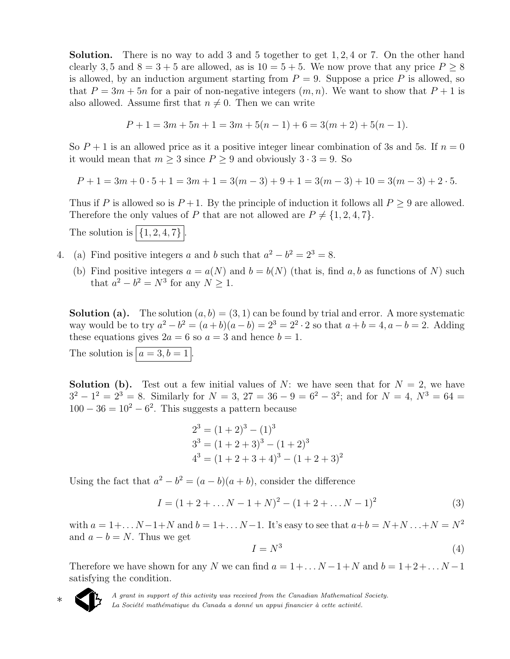Solution. There is no way to add 3 and 5 together to get 1, 2, 4 or 7. On the other hand clearly 3, 5 and  $8 = 3 + 5$  are allowed, as is  $10 = 5 + 5$ . We now prove that any price  $P > 8$ is allowed, by an induction argument starting from  $P = 9$ . Suppose a price P is allowed, so that  $P = 3m + 5n$  for a pair of non-negative integers  $(m, n)$ . We want to show that  $P + 1$  is also allowed. Assume first that  $n \neq 0$ . Then we can write

$$
P + 1 = 3m + 5n + 1 = 3m + 5(n - 1) + 6 = 3(m + 2) + 5(n - 1).
$$

So  $P+1$  is an allowed price as it a positive integer linear combination of 3s and 5s. If  $n=0$ it would mean that  $m \geq 3$  since  $P \geq 9$  and obviously  $3 \cdot 3 = 9$ . So

 $P + 1 = 3m + 0 \cdot 5 + 1 = 3m + 1 = 3(m - 3) + 9 + 1 = 3(m - 3) + 10 = 3(m - 3) + 2 \cdot 5.$ 

Thus if P is allowed so is  $P+1$ . By the principle of induction it follows all  $P \geq 9$  are allowed. Therefore the only values of P that are not allowed are  $P \neq \{1, 2, 4, 7\}.$ 

The solution is  $\boxed{\{1, 2, 4, 7\}}$ .

- 4. (a) Find positive integers a and b such that  $a^2 b^2 = 2^3 = 8$ .
	- (b) Find positive integers  $a = a(N)$  and  $b = b(N)$  (that is, find a, b as functions of N) such that  $a^2 - b^2 = N^3$  for any  $N \ge 1$ .

**Solution (a).** The solution  $(a, b) = (3, 1)$  can be found by trial and error. A more systematic way would be to try  $a^2 - b^2 = (a + b)(a - b) = 2^3 = 2^2 \cdot 2$  so that  $a + b = 4, a - b = 2$ . Adding these equations gives  $2a = 6$  so  $a = 3$  and hence  $b = 1$ .

The solution is  $\boxed{a = 3, b = 1}$ .

**Solution (b).** Test out a few initial values of N: we have seen that for  $N = 2$ , we have  $3^2 - 1^2 = 2^3 = 8$ . Similarly for  $N = 3$ ,  $27 = 36 - 9 = 6^2 - 3^2$ ; and for  $N = 4$ ,  $N^3 = 64 =$  $100 - 36 = 10<sup>2</sup> - 6<sup>2</sup>$ . This suggests a pattern because

$$
23 = (1 + 2)3 - (1)3
$$
  
\n
$$
33 = (1 + 2 + 3)3 - (1 + 2)3
$$
  
\n
$$
43 = (1 + 2 + 3 + 4)3 - (1 + 2 + 3)2
$$

Using the fact that  $a^2 - b^2 = (a - b)(a + b)$ , consider the difference

$$
I = (1 + 2 + \dots N - 1 + N)^2 - (1 + 2 + \dots N - 1)^2
$$
\n(3)

with  $a = 1 + ... N - 1 + N$  and  $b = 1 + ... N - 1$ . It's easy to see that  $a + b = N + N ... + N = N^2$ and  $a - b = N$ . Thus we get

$$
I = N^3 \tag{4}
$$

Therefore we have shown for any N we can find  $a = 1 + ... N - 1 + N$  and  $b = 1 + 2 + ... N - 1$ satisfying the condition.



A grant in support of this activity was received from the Canadian Mathematical Society. La Société mathématique du Canada a donné un appui financier à cette activité.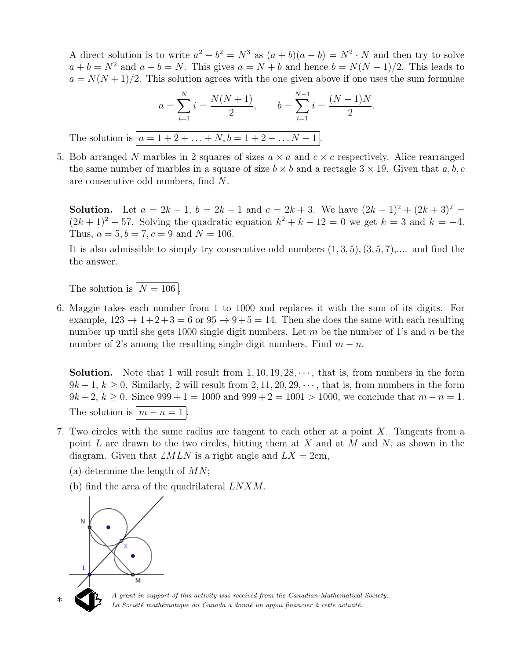A direct solution is to write  $a^2 - b^2 = N^3$  as  $(a + b)(a - b) = N^2 \cdot N$  and then try to solve  $a + b = N^2$  and  $a - b = N$ . This gives  $a = N + b$  and hence  $b = N(N-1)/2$ . This leads to  $a = N(N+1)/2$ . This solution agrees with the one given above if one uses the sum formulae

$$
a = \sum_{i=1}^{N} i = \frac{N(N+1)}{2}, \qquad b = \sum_{i=1}^{N-1} i = \frac{(N-1)N}{2}.
$$
  
The solution is  $[a = 1 + 2 + ... + N, b = 1 + 2 + ... N - 1].$ 

5. Bob arranged N marbles in 2 squares of sizes  $a \times a$  and  $c \times c$  respectively. Alice rearranged the same number of marbles in a square of size  $b \times b$  and a rectagle  $3 \times 19$ . Given that a, b, c are consecutive odd numbers, find N.

**Solution.** Let  $a = 2k - 1$ ,  $b = 2k + 1$  and  $c = 2k + 3$ . We have  $(2k - 1)^2 + (2k + 3)^2 =$  $(2k+1)^2 + 57$ . Solving the quadratic equation  $k^2 + k - 12 = 0$  we get  $k = 3$  and  $k = -4$ . Thus,  $a = 5, b = 7, c = 9$  and  $N = 106$ .

It is also admissible to simply try consecutive odd numbers  $(1, 3, 5), (3, 5, 7),...$  and find the the answer.

The solution is  $N = 106$ 

6. Maggie takes each number from 1 to 1000 and replaces it with the sum of its digits. For example,  $123 \rightarrow 1+2+3=6$  or  $95 \rightarrow 9+5=14$ . Then she does the same with each resulting number up until she gets 1000 single digit numbers. Let  $m$  be the number of 1's and  $n$  be the number of 2's among the resulting single digit numbers. Find  $m - n$ .

**Solution.** Note that 1 will result from  $1, 10, 19, 28, \dots$ , that is, from numbers in the form  $9k+1, k \geq 0$ . Similarly, 2 will result from 2, 11, 20, 29,  $\cdots$ , that is, from numbers in the form  $9k + 2, k \ge 0$ . Since  $999 + 1 = 1000$  and  $999 + 2 = 1001 > 1000$ , we conclude that  $m - n = 1$ . The solution is  $\vert m - n = 1 \vert$ .

- 7. Two circles with the same radius are tangent to each other at a point X. Tangents from a point  $L$  are drawn to the two circles, hitting them at  $X$  and at  $M$  and  $N$ , as shown in the diagram. Given that  $\angle MLN$  is a right angle and  $LX = 2cm$ ,
	- (a) determine the length of  $MN$ ;
	- (b) find the area of the quadrilateral LNXM.



A grant in support of this activity was received from the Canadian Mathematical Society. La Société mathématique du Canada a donné un appui financier à cette activité.

∗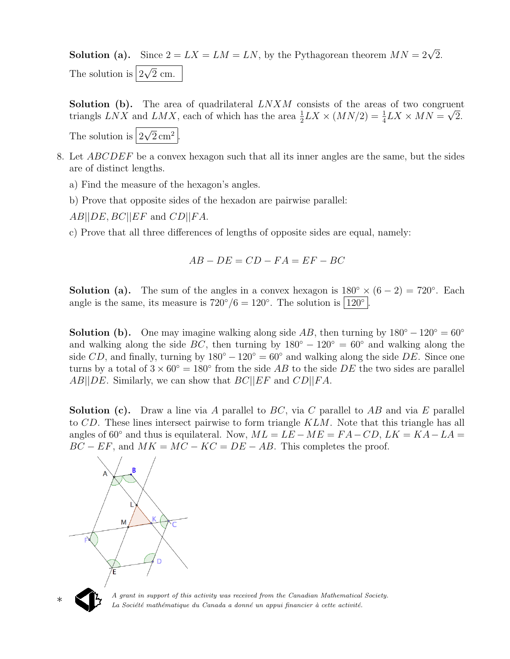**Solution (a).** Since  $2 = LX = LM = LN$ , by the Pythagorean theorem  $MN = 2\sqrt{2}$ . The solution is  $|2|$ √ 2 cm.

Solution (b). The area of quadrilateral  $LNXM$  consists of the areas of two congruent triangls LNX and LMX, each of which has the area  $\frac{1}{2} LX \times (MN/2) = \frac{1}{4} LX \times MN = \sqrt{2}$ .

The solution is  $|2|$ √  $\sqrt{2}$  cm<sup>2</sup> |.

- 8. Let ABCDEF be a convex hexagon such that all its inner angles are the same, but the sides are of distinct lengths.
	- a) Find the measure of the hexagon's angles.
	- b) Prove that opposite sides of the hexadon are pairwise parallel:

 $AB||DE, BC||EF$  and  $CD||FA$ .

c) Prove that all three differences of lengths of opposite sides are equal, namely:

$$
AB - DE = CD - FA = EF - BC
$$

**Solution (a).** The sum of the angles in a convex hexagon is  $180° \times (6-2) = 720°$ . Each angle is the same, its measure is  $720^{\circ}/6 = 120^{\circ}$ . The solution is  $120^{\circ}$ .

**Solution (b).** One may imagine walking along side AB, then turning by  $180° - 120° = 60°$ and walking along the side BC, then turning by  $180° - 120° = 60°$  and walking along the side CD, and finally, turning by  $180° - 120° = 60°$  and walking along the side DE. Since one turns by a total of  $3 \times 60^{\circ} = 180^{\circ}$  from the side AB to the side DE the two sides are parallel  $AB||DE$ . Similarly, we can show that  $BC||EF$  and  $CD||FA$ .

**Solution (c).** Draw a line via A parallel to BC, via C parallel to AB and via E parallel to CD. These lines intersect pairwise to form triangle KLM. Note that this triangle has all angles of 60° and thus is equilateral. Now,  $ML = LE - ME = FA - CD$ ,  $LK = KA - LA =$  $BC - EF$ , and  $MK = MC - KC = DE - AB$ . This completes the proof.





∗

A grant in support of this activity was received from the Canadian Mathematical Society. La Société mathématique du Canada a donné un appui financier à cette activité.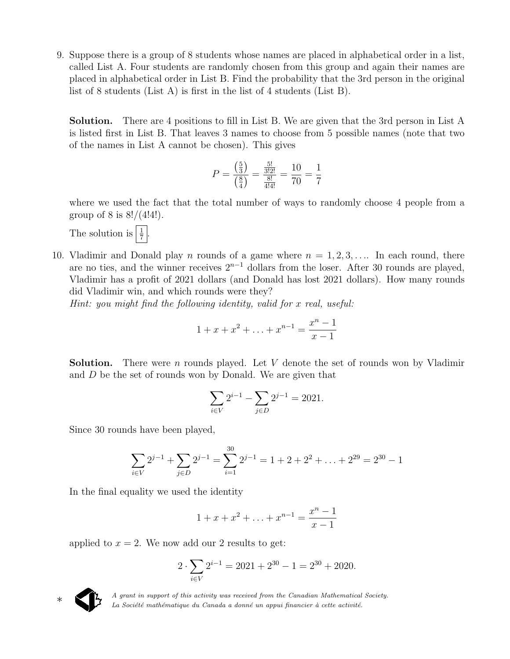9. Suppose there is a group of 8 students whose names are placed in alphabetical order in a list, called List A. Four students are randomly chosen from this group and again their names are placed in alphabetical order in List B. Find the probability that the 3rd person in the original list of 8 students (List A) is first in the list of 4 students (List B).

Solution. There are 4 positions to fill in List B. We are given that the 3rd person in List A is listed first in List B. That leaves 3 names to choose from 5 possible names (note that two of the names in List A cannot be chosen). This gives

$$
P = \frac{\left(\frac{5}{3}\right)}{\left(\frac{8}{4}\right)} = \frac{\frac{5!}{3!2!}}{\frac{8!}{4!4!}} = \frac{10}{70} = \frac{1}{7}
$$

where we used the fact that the total number of ways to randomly choose 4 people from a group of 8 is  $8!/(4!4!)$ .

The solution is  $\frac{1}{7}$ .

10. Vladimir and Donald play *n* rounds of a game where  $n = 1, 2, 3, \ldots$  In each round, there are no ties, and the winner receives  $2^{n-1}$  dollars from the loser. After 30 rounds are played, Vladimir has a profit of 2021 dollars (and Donald has lost 2021 dollars). How many rounds did Vladimir win, and which rounds were they?

Hint: you might find the following identity, valid for x real, useful:

$$
1 + x + x^{2} + \ldots + x^{n-1} = \frac{x^{n} - 1}{x - 1}
$$

**Solution.** There were n rounds played. Let V denote the set of rounds won by Vladimir and D be the set of rounds won by Donald. We are given that

$$
\sum_{i \in V} 2^{i-1} - \sum_{j \in D} 2^{j-1} = 2021.
$$

Since 30 rounds have been played,

$$
\sum_{i \in V} 2^{j-1} + \sum_{j \in D} 2^{j-1} = \sum_{i=1}^{30} 2^{j-1} = 1 + 2 + 2^2 + \dots + 2^{29} = 2^{30} - 1
$$

In the final equality we used the identity

$$
1 + x + x^{2} + \ldots + x^{n-1} = \frac{x^{n} - 1}{x - 1}
$$

applied to  $x = 2$ . We now add our 2 results to get:

$$
2 \cdot \sum_{i \in V} 2^{i-1} = 2021 + 2^{30} - 1 = 2^{30} + 2020.
$$



♣

A grant in support of this activity was received from the Canadian Mathematical Society. La Société mathématique du Canada a donné un appui financier à cette activité.